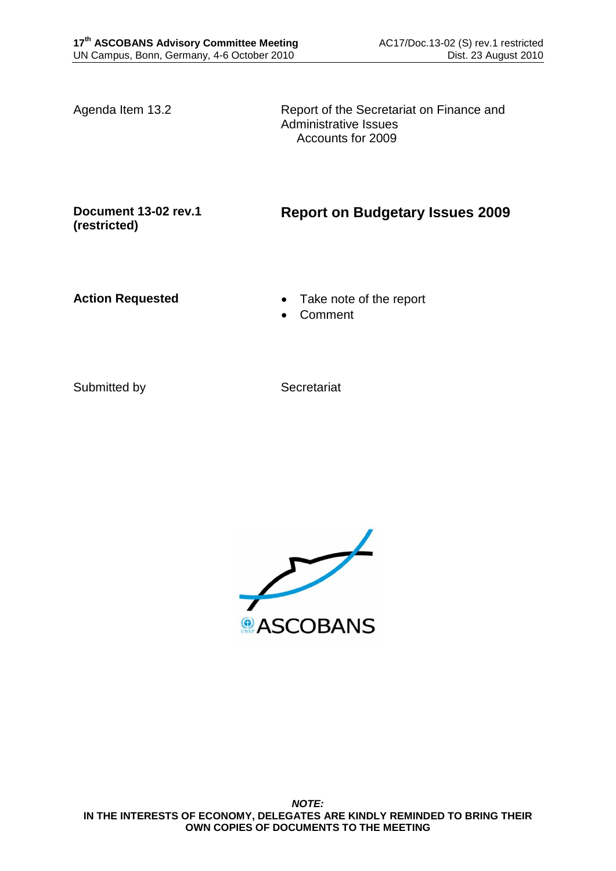Agenda Item 13.2 Report of the Secretariat on Finance and Administrative Issues Accounts for 2009

**Document 13-02 rev.1 (restricted)**

**Report on Budgetary Issues 2009**

- Action Requested **Take note of the report** 
	- Comment

Submitted by Secretariat

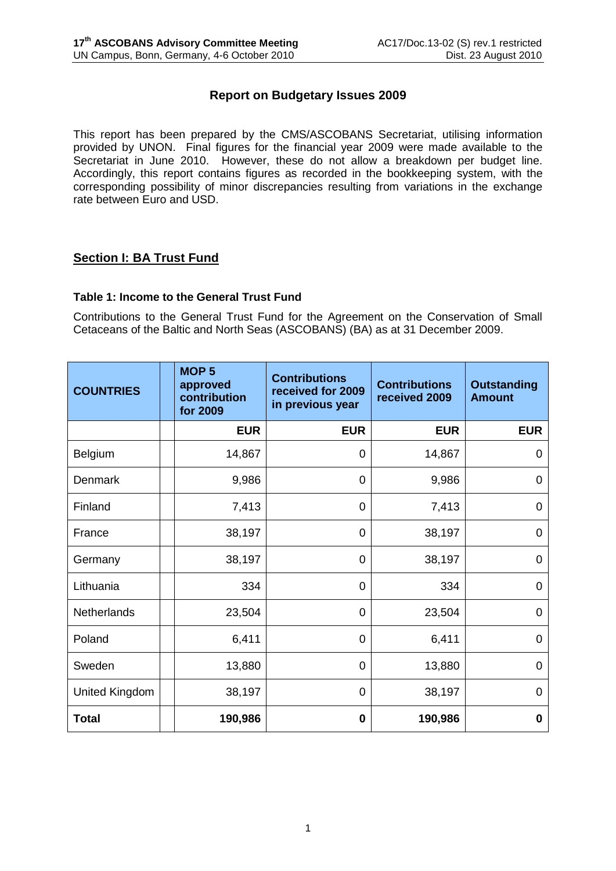# **Report on Budgetary Issues 2009**

This report has been prepared by the CMS/ASCOBANS Secretariat, utilising information provided by UNON. Final figures for the financial year 2009 were made available to the Secretariat in June 2010. However, these do not allow a breakdown per budget line. Accordingly, this report contains figures as recorded in the bookkeeping system, with the corresponding possibility of minor discrepancies resulting from variations in the exchange rate between Euro and USD.

# **Section I: BA Trust Fund**

### **Table 1: Income to the General Trust Fund**

Contributions to the General Trust Fund for the Agreement on the Conservation of Small Cetaceans of the Baltic and North Seas (ASCOBANS) (BA) as at 31 December 2009.

| <b>COUNTRIES</b>   | MOP <sub>5</sub><br>approved<br>contribution<br>for 2009 | <b>Contributions</b><br>received for 2009<br>in previous year | <b>Contributions</b><br>received 2009 | <b>Outstanding</b><br><b>Amount</b> |
|--------------------|----------------------------------------------------------|---------------------------------------------------------------|---------------------------------------|-------------------------------------|
|                    | <b>EUR</b>                                               | <b>EUR</b>                                                    | <b>EUR</b>                            | <b>EUR</b>                          |
| Belgium            | 14,867                                                   | 0                                                             | 14,867                                | 0                                   |
| <b>Denmark</b>     | 9,986                                                    | 0                                                             | 9,986                                 | 0                                   |
| Finland            | 7,413                                                    | 0                                                             | 7,413                                 | 0                                   |
| France             | 38,197                                                   | 0                                                             | 38,197                                | 0                                   |
| Germany            | 38,197                                                   | 0                                                             | 38,197                                | 0                                   |
| Lithuania          | 334                                                      | 0                                                             | 334                                   | 0                                   |
| <b>Netherlands</b> | 23,504                                                   | 0                                                             | 23,504                                | $\overline{0}$                      |
| Poland             | 6,411                                                    | 0                                                             | 6,411                                 | 0                                   |
| Sweden             | 13,880                                                   | 0                                                             | 13,880                                | 0                                   |
| United Kingdom     | 38,197                                                   | 0                                                             | 38,197                                | $\overline{0}$                      |
| <b>Total</b>       | 190,986                                                  | 0                                                             | 190,986                               | 0                                   |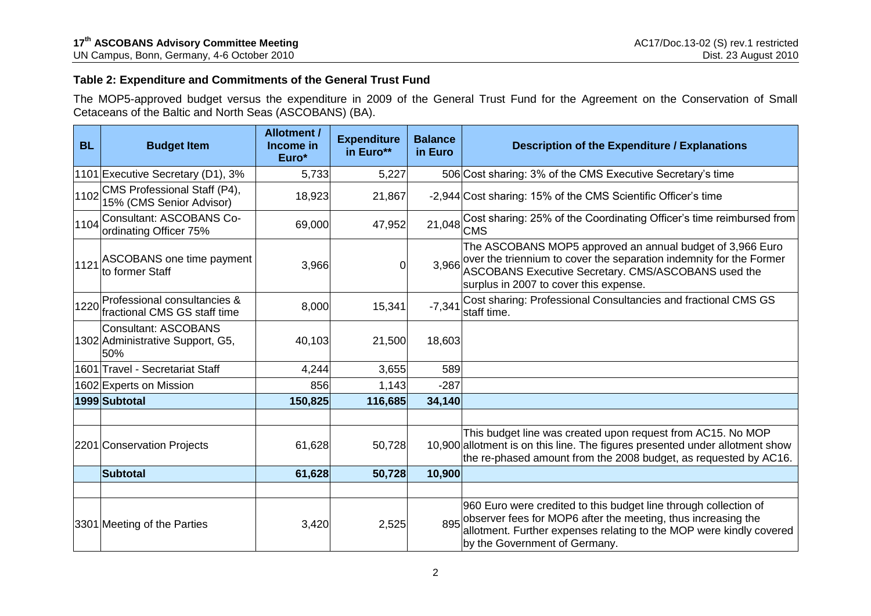## **Table 2: Expenditure and Commitments of the General Trust Fund**

The MOP5-approved budget versus the expenditure in 2009 of the General Trust Fund for the Agreement on the Conservation of Small Cetaceans of the Baltic and North Seas (ASCOBANS) (BA).

| <b>BL</b> | <b>Budget Item</b>                                                     | <b>Allotment /</b><br>Income in<br>Euro* | <b>Expenditure</b><br>in Euro** | <b>Balance</b><br>in Euro | <b>Description of the Expenditure / Explanations</b>                                                                                                                                                                                      |
|-----------|------------------------------------------------------------------------|------------------------------------------|---------------------------------|---------------------------|-------------------------------------------------------------------------------------------------------------------------------------------------------------------------------------------------------------------------------------------|
|           | 1101 Executive Secretary (D1), 3%                                      | 5,733                                    | 5,227                           |                           | 506 Cost sharing: 3% of the CMS Executive Secretary's time                                                                                                                                                                                |
| 1102      | CMS Professional Staff (P4),<br>15% (CMS Senior Advisor)               | 18,923                                   | 21,867                          |                           | -2,944 Cost sharing: 15% of the CMS Scientific Officer's time                                                                                                                                                                             |
|           | 1104 Consultant: ASCOBANS Co-<br>ordinating Officer 75%                | 69,000                                   | 47,952                          |                           | 21,048 Cost sharing: 25% of the Coordinating Officer's time reimbursed from<br><b>CMS</b>                                                                                                                                                 |
|           | 1121 ASCOBANS one time payment<br>to former Staff                      | 3,966                                    | 0                               | 3,966                     | The ASCOBANS MOP5 approved an annual budget of 3,966 Euro<br>over the triennium to cover the separation indemnity for the Former<br>ASCOBANS Executive Secretary. CMS/ASCOBANS used the<br>surplus in 2007 to cover this expense.         |
|           | 1220 Professional consultancies &<br>fractional CMS GS staff time      | 8,000                                    | 15,341                          | $-7,341$                  | Cost sharing: Professional Consultancies and fractional CMS GS<br>staff time.                                                                                                                                                             |
|           | <b>Consultant: ASCOBANS</b><br>1302 Administrative Support, G5,<br>50% | 40,103                                   | 21,500                          | 18,603                    |                                                                                                                                                                                                                                           |
|           | 1601 Travel - Secretariat Staff                                        | 4,244                                    | 3,655                           | 589                       |                                                                                                                                                                                                                                           |
|           | 1602 Experts on Mission                                                | 856                                      | 1,143                           | $-287$                    |                                                                                                                                                                                                                                           |
|           | 1999 Subtotal                                                          | 150,825                                  | 116,685                         | 34,140                    |                                                                                                                                                                                                                                           |
|           |                                                                        |                                          |                                 |                           |                                                                                                                                                                                                                                           |
|           | 2201 Conservation Projects                                             | 61,628                                   | 50,728                          |                           | This budget line was created upon request from AC15. No MOP<br>10,900 allotment is on this line. The figures presented under allotment show<br>the re-phased amount from the 2008 budget, as requested by AC16.                           |
|           | Subtotal                                                               | 61,628                                   | 50,728                          | 10,900                    |                                                                                                                                                                                                                                           |
|           |                                                                        |                                          |                                 |                           |                                                                                                                                                                                                                                           |
|           | 3301 Meeting of the Parties                                            | 3,420                                    | 2,525                           | 895                       | 960 Euro were credited to this budget line through collection of<br>observer fees for MOP6 after the meeting, thus increasing the<br>allotment. Further expenses relating to the MOP were kindly covered<br>by the Government of Germany. |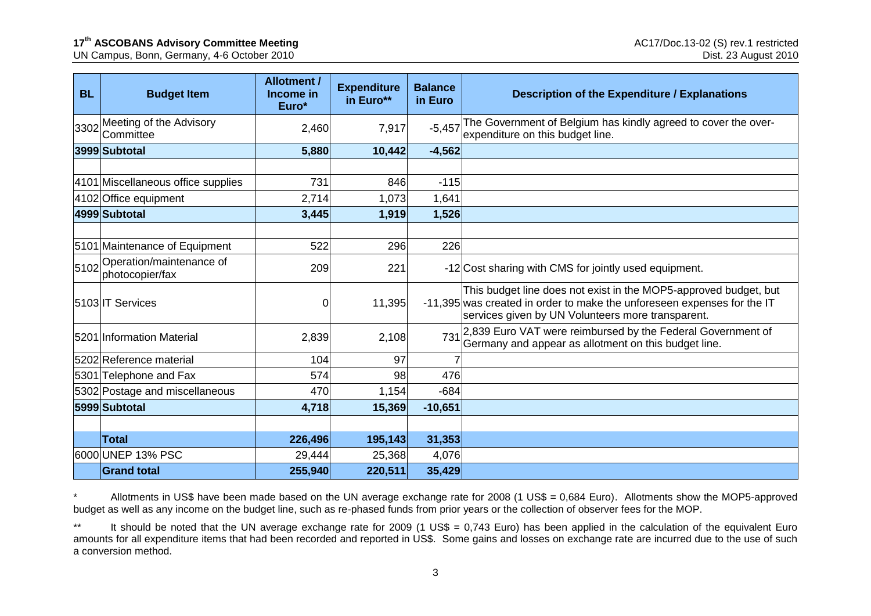UN Campus, Bonn, Germany, 4-6 October 2010

| <b>BL</b> | <b>Budget Item</b>                          | <b>Allotment /</b><br>Income in<br>Euro* | <b>Expenditure</b><br>in Euro** | <b>Balance</b><br>in Euro | <b>Description of the Expenditure / Explanations</b>                                                                                                                                             |
|-----------|---------------------------------------------|------------------------------------------|---------------------------------|---------------------------|--------------------------------------------------------------------------------------------------------------------------------------------------------------------------------------------------|
| 3302      | Meeting of the Advisory<br>Committee        | 2,460                                    | 7,917                           | $-5,457$                  | The Government of Belgium has kindly agreed to cover the over-<br>expenditure on this budget line.                                                                                               |
|           | 3999 Subtotal                               | 5,880                                    | 10,442                          | $-4,562$                  |                                                                                                                                                                                                  |
|           |                                             |                                          |                                 |                           |                                                                                                                                                                                                  |
|           | 4101 Miscellaneous office supplies          | 731                                      | 846                             | $-115$                    |                                                                                                                                                                                                  |
|           | 4102 Office equipment                       | 2,714                                    | 1,073                           | 1,641                     |                                                                                                                                                                                                  |
|           | 4999 Subtotal                               | 3,445                                    | 1,919                           | 1,526                     |                                                                                                                                                                                                  |
|           |                                             |                                          |                                 |                           |                                                                                                                                                                                                  |
|           | 5101 Maintenance of Equipment               | 522                                      | 296                             | 226                       |                                                                                                                                                                                                  |
| 5102      | Operation/maintenance of<br>photocopier/fax | 209                                      | 221                             |                           | -12 Cost sharing with CMS for jointly used equipment.                                                                                                                                            |
|           | 5103 IT Services                            | 0                                        | 11,395                          |                           | This budget line does not exist in the MOP5-approved budget, but<br>-11,395 was created in order to make the unforeseen expenses for the IT<br>services given by UN Volunteers more transparent. |
|           | 5201 Information Material                   | 2,839                                    | 2,108                           | 731                       | 2,839 Euro VAT were reimbursed by the Federal Government of Germany and appear as allotment on this budget line.                                                                                 |
|           | 5202 Reference material                     | 104                                      | 97                              |                           |                                                                                                                                                                                                  |
|           | 5301 Telephone and Fax                      | 574                                      | 98                              | 476                       |                                                                                                                                                                                                  |
|           | 5302 Postage and miscellaneous              | 470                                      | 1,154                           | $-684$                    |                                                                                                                                                                                                  |
|           | 5999 Subtotal                               | 4,718                                    | 15,369                          | $-10,651$                 |                                                                                                                                                                                                  |
|           |                                             |                                          |                                 |                           |                                                                                                                                                                                                  |
|           | <b>Total</b>                                | 226,496                                  | 195,143                         | 31,353                    |                                                                                                                                                                                                  |
|           | 6000 UNEP 13% PSC                           | 29,444                                   | 25,368                          | 4,076                     |                                                                                                                                                                                                  |
|           | <b>Grand total</b>                          | 255,940                                  | 220,511                         | 35,429                    |                                                                                                                                                                                                  |

Allotments in US\$ have been made based on the UN average exchange rate for 2008 (1 US\$ = 0,684 Euro). Allotments show the MOP5-approved budget as well as any income on the budget line, such as re-phased funds from prior years or the collection of observer fees for the MOP.

\*\* It should be noted that the UN average exchange rate for 2009 (1 US\$ = 0,743 Euro) has been applied in the calculation of the equivalent Euro amounts for all expenditure items that had been recorded and reported in US\$. Some gains and losses on exchange rate are incurred due to the use of such a conversion method.